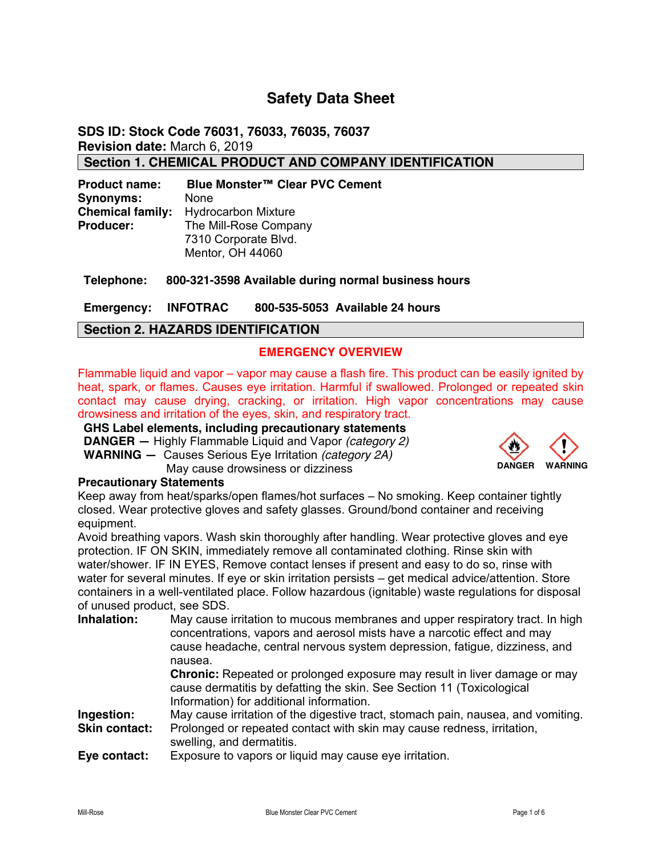# **Safety Data Sheet**

**SDS ID: Stock Code 76031, 76033, 76035, 76037 Revision date:** March 6, 2019 **Section 1. CHEMICAL PRODUCT AND COMPANY IDENTIFICATION** 

**Product name: Blue Monster™ Clear PVC Cement Synonyms:** None **Chemical family:** Hydrocarbon Mixture **Producer:** The Mill-Rose Company 7310 Corporate Blvd. Mentor, OH 44060

**Telephone: 800-321-3598 Available during normal business hours** 

**Emergency: INFOTRAC 800-535-5053 Available 24 hours** 

## **Section 2. HAZARDS IDENTIFICATION**

## **EMERGENCY OVERVIEW**

Flammable liquid and vapor – vapor may cause a flash fire. This product can be easily ignited by heat, spark, or flames. Causes eye irritation. Harmful if swallowed. Prolonged or repeated skin contact may cause drying, cracking, or irritation. High vapor concentrations may cause drowsiness and irritation of the eyes, skin, and respiratory tract.

# **GHS Label elements, including precautionary statements**

**DANGER —** Highly Flammable Liquid and Vapor *(category 2)* **WARNING —** Causes Serious Eye Irritation *(category 2A)* May cause drowsiness or dizziness



## **Precautionary Statements**

Keep away from heat/sparks/open flames/hot surfaces – No smoking. Keep container tightly closed. Wear protective gloves and safety glasses. Ground/bond container and receiving equipment.

Avoid breathing vapors. Wash skin thoroughly after handling. Wear protective gloves and eye protection. IF ON SKIN, immediately remove all contaminated clothing. Rinse skin with water/shower. IF IN EYES, Remove contact lenses if present and easy to do so, rinse with water for several minutes. If eye or skin irritation persists – get medical advice/attention. Store containers in a well-ventilated place. Follow hazardous (ignitable) waste regulations for disposal of unused product, see SDS.

| Inhalation:   | May cause irritation to mucous membranes and upper respiratory tract. In high<br>concentrations, vapors and aerosol mists have a narcotic effect and may<br>cause headache, central nervous system depression, fatigue, dizziness, and<br>nausea. |
|---------------|---------------------------------------------------------------------------------------------------------------------------------------------------------------------------------------------------------------------------------------------------|
|               | <b>Chronic:</b> Repeated or prolonged exposure may result in liver damage or may<br>cause dermatitis by defatting the skin. See Section 11 (Toxicological<br>Information) for additional information.                                             |
| Ingestion:    | May cause irritation of the digestive tract, stomach pain, nausea, and vomiting.                                                                                                                                                                  |
| Skin contact: | Prolonged or repeated contact with skin may cause redness, irritation,<br>swelling, and dermatitis.                                                                                                                                               |
| Eye contact:  | Exposure to vapors or liquid may cause eye irritation.                                                                                                                                                                                            |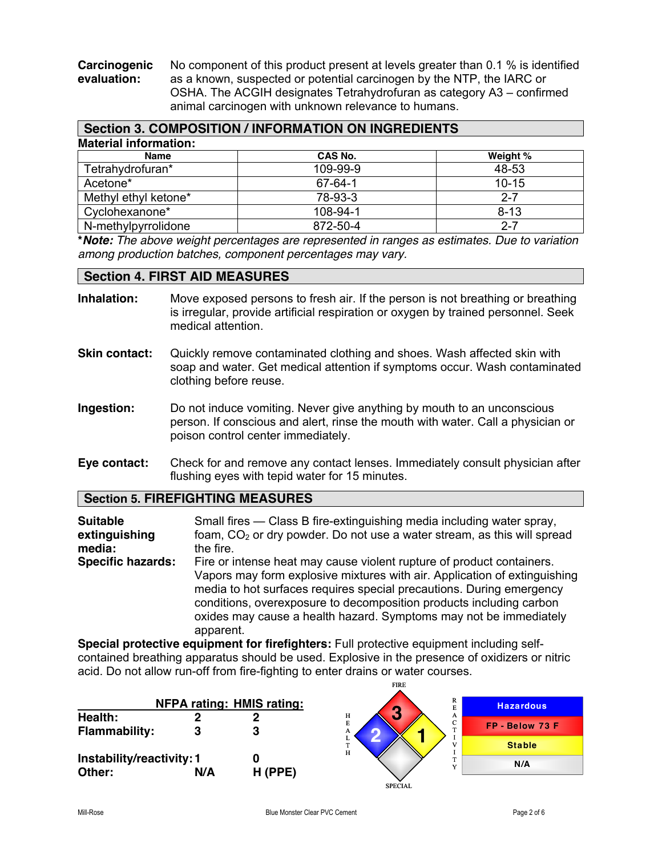**Carcinogenic** No component of this product present at levels greater than 0.1 % is identified evaluation: as a known, suspected or potential carcinogen by the NTP, the IARC or as a known, suspected or potential carcinogen by the NTP, the IARC or OSHA. The ACGIH designates Tetrahydrofuran as category A3 – confirmed animal carcinogen with unknown relevance to humans.

|                              | Section 3. COMPOSITION / INFORMATION ON INGREDIENTS |           |
|------------------------------|-----------------------------------------------------|-----------|
| <b>Material information:</b> |                                                     |           |
| <b>Name</b>                  | CAS No.                                             | Weight %  |
| Tetrahydrofuran*             | 109-99-9                                            | 48-53     |
| Acetone*                     | $67 - 64 - 1$                                       | $10 - 15$ |
| Methyl ethyl ketone*         | 78-93-3                                             | $2 - 7$   |
| Cyclohexanone*               | 108-94-1                                            | $8 - 13$  |
| N-methylpyrrolidone          | 872-50-4                                            | $2 - 7$   |

**\****Note: The above weight percentages are represented in ranges as estimates. Due to variation among production batches, component percentages may vary.*

## **Section 4. FIRST AID MEASURES**

- **Inhalation:** Move exposed persons to fresh air. If the person is not breathing or breathing is irregular, provide artificial respiration or oxygen by trained personnel. Seek medical attention.
- **Skin contact:** Quickly remove contaminated clothing and shoes. Wash affected skin with soap and water. Get medical attention if symptoms occur. Wash contaminated clothing before reuse.
- **Ingestion:** Do not induce vomiting. Never give anything by mouth to an unconscious person. If conscious and alert, rinse the mouth with water. Call a physician or poison control center immediately.
- **Eye contact:** Check for and remove any contact lenses. Immediately consult physician after flushing eyes with tepid water for 15 minutes.

## **Section 5. FIREFIGHTING MEASURES**

**Suitable** Small fires — Class B fire-extinguishing media including water spray, **extinguishing** foam, CO<sub>2</sub> or dry powder. Do not use a water stream, as this will spread **media:** the fire. **Specific hazards:** Fire or intense heat may cause violent rupture of product containers. Vapors may form explosive mixtures with air. Application of extinguishing media to hot surfaces requires special precautions. During emergency conditions, overexposure to decomposition products including carbon oxides may cause a health hazard. Symptoms may not be immediately apparent.

**Special protective equipment for firefighters:** Full protective equipment including selfcontained breathing apparatus should be used. Explosive in the presence of oxidizers or nitric acid. Do not allow run-off from fire-fighting to enter drains or water courses.

FIRE

|                                     |     | <b>NFPA rating: HMIS rating:</b> | R<br>E<br><b>G</b>                             | <b>Hazardous</b> |
|-------------------------------------|-----|----------------------------------|------------------------------------------------|------------------|
| Health:<br><b>Flammability:</b>     |     | ŋ<br>3                           | н<br>A<br>E<br>C<br>m.<br>А                    | FP - Below 73 F  |
|                                     |     |                                  | $\frac{L}{T}$<br>$\overline{M}$<br>$\mathbf H$ | <b>Stable</b>    |
| Instability/reactivity: 1<br>Other: | N/A | $H$ (PPE)                        | <b>XF</b>                                      | N/A              |
|                                     |     |                                  | <b>SPECIAL</b>                                 |                  |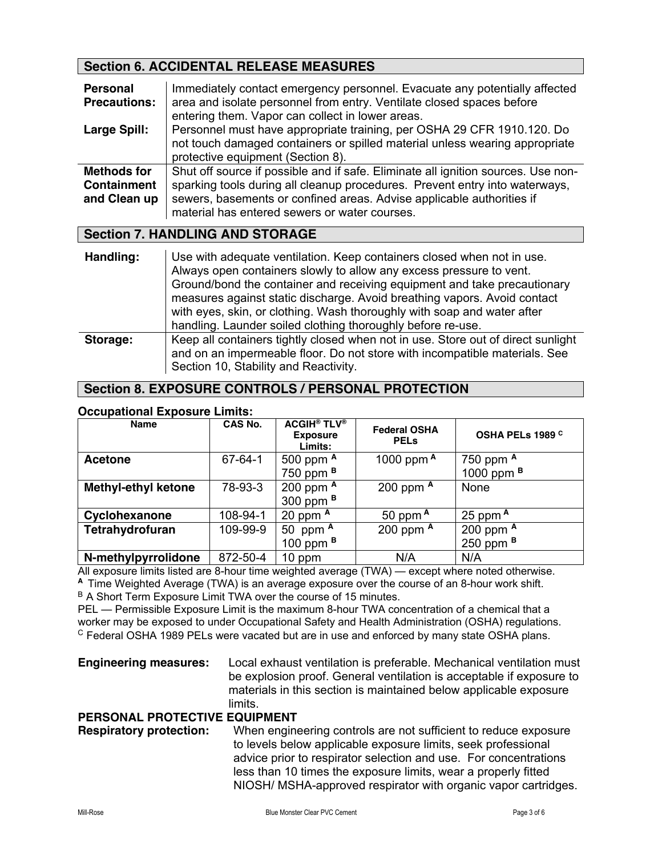# **Section 6. ACCIDENTAL RELEASE MEASURES**

| <b>Personal</b><br><b>Precautions:</b>                   | Immediately contact emergency personnel. Evacuate any potentially affected<br>area and isolate personnel from entry. Ventilate closed spaces before<br>entering them. Vapor can collect in lower areas.                                                                                    |
|----------------------------------------------------------|--------------------------------------------------------------------------------------------------------------------------------------------------------------------------------------------------------------------------------------------------------------------------------------------|
| <b>Large Spill:</b>                                      | Personnel must have appropriate training, per OSHA 29 CFR 1910.120. Do<br>not touch damaged containers or spilled material unless wearing appropriate<br>protective equipment (Section 8).                                                                                                 |
| <b>Methods for</b><br><b>Containment</b><br>and Clean up | Shut off source if possible and if safe. Eliminate all ignition sources. Use non-<br>sparking tools during all cleanup procedures. Prevent entry into waterways,<br>sewers, basements or confined areas. Advise applicable authorities if<br>material has entered sewers or water courses. |

## **Section 7. HANDLING AND STORAGE**

| Handling: | Use with adequate ventilation. Keep containers closed when not in use.<br>Always open containers slowly to allow any excess pressure to vent.<br>Ground/bond the container and receiving equipment and take precautionary<br>measures against static discharge. Avoid breathing vapors. Avoid contact<br>with eyes, skin, or clothing. Wash thoroughly with soap and water after<br>handling. Launder soiled clothing thoroughly before re-use. |
|-----------|-------------------------------------------------------------------------------------------------------------------------------------------------------------------------------------------------------------------------------------------------------------------------------------------------------------------------------------------------------------------------------------------------------------------------------------------------|
| Storage:  | Keep all containers tightly closed when not in use. Store out of direct sunlight<br>and on an impermeable floor. Do not store with incompatible materials. See<br>Section 10, Stability and Reactivity.                                                                                                                                                                                                                                         |

## **Section 8. EXPOSURE CONTROLS / PERSONAL PROTECTION**

#### **Occupational Exposure Limits:**

| Name                       | <b>CAS No.</b> | <b>ACGIH<sup>®</sup> TLV<sup>®</sup></b><br><b>Exposure</b><br>Limits: | <b>Federal OSHA</b><br><b>PEL<sub>s</sub></b> | OSHA PELs 1989 C      |
|----------------------------|----------------|------------------------------------------------------------------------|-----------------------------------------------|-----------------------|
| <b>Acetone</b>             | 67-64-1        | 500 ppm A                                                              | 1000 ppm $A$                                  | 750 ppm A             |
|                            |                | 750 ppm <sup>B</sup>                                                   |                                               | 1000 ppm <sup>B</sup> |
| <b>Methyl-ethyl ketone</b> | 78-93-3        | 200 ppm $A$                                                            | 200 ppm $A$                                   | None                  |
|                            |                | 300 ppm $B$                                                            |                                               |                       |
| Cyclohexanone              | 108-94-1       | 20 ppm $A$                                                             | 50 ppm $A$                                    | 25 ppm $A$            |
| Tetrahydrofuran            | 109-99-9       | 50 ppm $A$                                                             | 200 ppm $A$                                   | 200 ppm A             |
|                            |                | 100 ppm $B$                                                            |                                               | 250 ppm $B$           |
| N-methylpyrrolidone        | 872-50-4       | 10 ppm                                                                 | N/A                                           | N/A                   |

All exposure limits listed are 8-hour time weighted average (TWA) — except where noted otherwise. **<sup>A</sup>**Time Weighted Average (TWA) is an average exposure over the course of an 8-hour work shift.

B A Short Term Exposure Limit TWA over the course of 15 minutes.

PEL — Permissible Exposure Limit is the maximum 8-hour TWA concentration of a chemical that a worker may be exposed to under Occupational Safety and Health Administration (OSHA) regulations.  $\textdegree$  Federal OSHA 1989 PELs were vacated but are in use and enforced by many state OSHA plans.

**Engineering measures:** Local exhaust ventilation is preferable. Mechanical ventilation must be explosion proof. General ventilation is acceptable if exposure to materials in this section is maintained below applicable exposure limits.

## **PERSONAL PROTECTIVE EQUIPMENT**

## **Respiratory protection:** When engineering controls are not sufficient to reduce exposure to levels below applicable exposure limits, seek professional advice prior to respirator selection and use. For concentrations less than 10 times the exposure limits, wear a properly fitted NIOSH/ MSHA-approved respirator with organic vapor cartridges.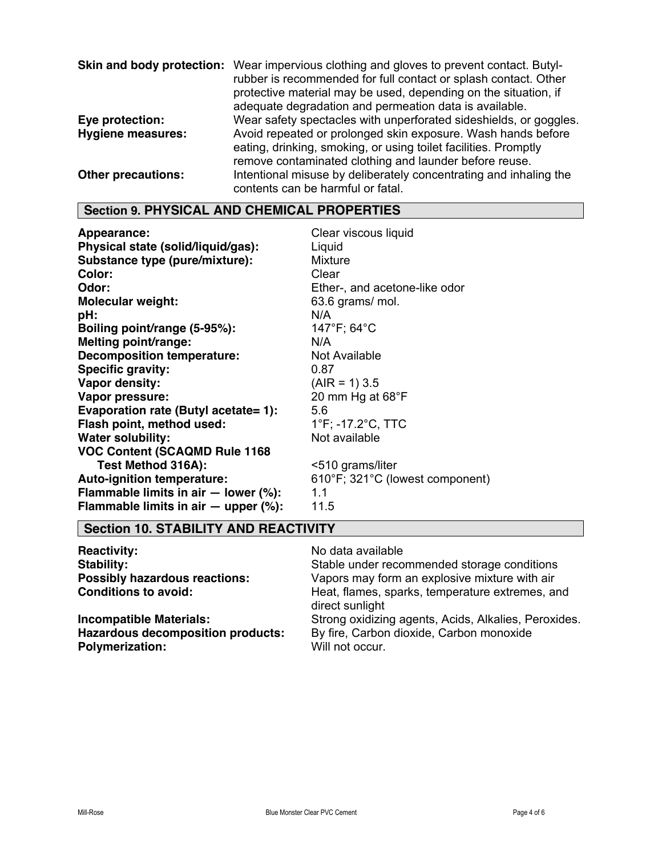| Skin and body protection: | Wear impervious clothing and gloves to prevent contact. Butyl-<br>rubber is recommended for full contact or splash contact. Other<br>protective material may be used, depending on the situation, if<br>adequate degradation and permeation data is available. |
|---------------------------|----------------------------------------------------------------------------------------------------------------------------------------------------------------------------------------------------------------------------------------------------------------|
| Eye protection:           | Wear safety spectacles with unperforated sideshields, or goggles.                                                                                                                                                                                              |
| <b>Hygiene measures:</b>  | Avoid repeated or prolonged skin exposure. Wash hands before<br>eating, drinking, smoking, or using toilet facilities. Promptly<br>remove contaminated clothing and launder before reuse.                                                                      |
| <b>Other precautions:</b> | Intentional misuse by deliberately concentrating and inhaling the<br>contents can be harmful or fatal.                                                                                                                                                         |

# **Section 9. PHYSICAL AND CHEMICAL PROPERTIES**

| Appearance:                                | Clear viscous liquid            |
|--------------------------------------------|---------------------------------|
| Physical state (solid/liquid/gas):         | Liquid                          |
| Substance type (pure/mixture):             | <b>Mixture</b>                  |
| Color:                                     | Clear                           |
| Odor:                                      | Ether-, and acetone-like odor   |
| <b>Molecular weight:</b>                   | 63.6 grams/ mol.                |
| pH:                                        | N/A                             |
| Boiling point/range (5-95%):               | 147°F; 64°C                     |
| Melting point/range:                       | N/A                             |
| <b>Decomposition temperature:</b>          | Not Available                   |
| <b>Specific gravity:</b>                   | 0.87                            |
| <b>Vapor density:</b>                      | $(AIR = 1) 3.5$                 |
| Vapor pressure:                            | 20 mm Hg at $68^{\circ}$ F      |
| Evaporation rate (Butyl acetate= 1):       | 5.6                             |
| Flash point, method used:                  | 1°F; -17.2°C, TTC               |
| <b>Water solubility:</b>                   | Not available                   |
| <b>VOC Content (SCAQMD Rule 1168)</b>      |                                 |
| Test Method 316A):                         | <510 grams/liter                |
| <b>Auto-ignition temperature:</b>          | 610°F; 321°C (lowest component) |
| Flammable limits in air $-$ lower (%):     | 1.1                             |
| Flammable limits in air $-$ upper $(\%)$ : | 11.5                            |

# **Section 10. STABILITY AND REACTIVITY**

| <b>Reactivity:</b>                       | No data available                                                  |
|------------------------------------------|--------------------------------------------------------------------|
| Stability:                               | Stable under recommended storage conditions                        |
| <b>Possibly hazardous reactions:</b>     | Vapors may form an explosive mixture with air                      |
| <b>Conditions to avoid:</b>              | Heat, flames, sparks, temperature extremes, and<br>direct sunlight |
| <b>Incompatible Materials:</b>           | Strong oxidizing agents, Acids, Alkalies, Peroxides.               |
| <b>Hazardous decomposition products:</b> | By fire, Carbon dioxide, Carbon monoxide                           |
| <b>Polymerization:</b>                   | Will not occur.                                                    |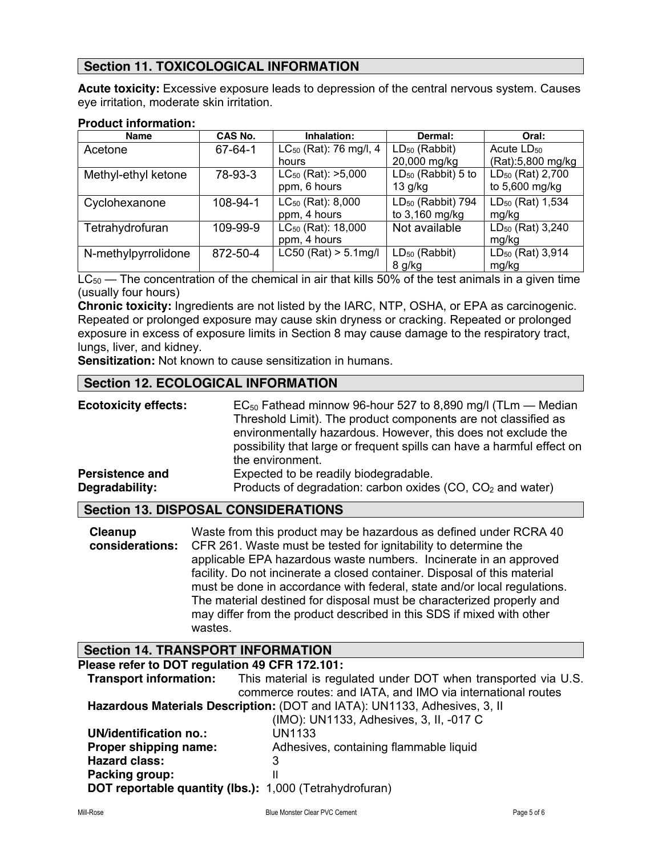# **Section 11. TOXICOLOGICAL INFORMATION**

**Acute toxicity:** Excessive exposure leads to depression of the central nervous system. Causes eye irritation, moderate skin irritation.

#### **Product information:**

| <b>Name</b>         | CAS No.       | Inhalation:                    | Dermal:                        | Oral:                        |
|---------------------|---------------|--------------------------------|--------------------------------|------------------------------|
| Acetone             | $67 - 64 - 1$ | $LC_{50}$ (Rat): 76 mg/l, 4    | $LD_{50}$ (Rabbit)             | Acute $LD_{50}$              |
|                     |               | hours                          | 20,000 mg/kg                   | (Rat):5,800 mg/kg            |
| Methyl-ethyl ketone | 78-93-3       | $LC_{50}$ (Rat): $>5,000$      | LD <sub>50</sub> (Rabbit) 5 to | LD <sub>50</sub> (Rat) 2,700 |
|                     |               | ppm, 6 hours                   | $13$ g/kg                      | to 5,600 mg/kg               |
| Cyclohexanone       | 108-94-1      | LC <sub>50</sub> (Rat): 8,000  | LD <sub>50</sub> (Rabbit) 794  | LD <sub>50</sub> (Rat) 1,534 |
|                     |               | ppm, 4 hours                   | to 3,160 mg/kg                 | mg/kg                        |
| Tetrahydrofuran     | 109-99-9      | LC <sub>50</sub> (Rat): 18,000 | Not available                  | $LD_{50}$ (Rat) 3,240        |
|                     |               | ppm, 4 hours                   |                                | mg/kg                        |
| N-methylpyrrolidone | 872-50-4      | $LC50$ (Rat) > 5.1mg/l         | $LD_{50}$ (Rabbit)             | LD <sub>50</sub> (Rat) 3,914 |
|                     |               |                                | 8 g/kg                         | mg/kg                        |

 $LC_{50}$  — The concentration of the chemical in air that kills 50% of the test animals in a given time (usually four hours)

**Chronic toxicity:** Ingredients are not listed by the IARC, NTP, OSHA, or EPA as carcinogenic. Repeated or prolonged exposure may cause skin dryness or cracking. Repeated or prolonged exposure in excess of exposure limits in Section 8 may cause damage to the respiratory tract, lungs, liver, and kidney.

**Sensitization:** Not known to cause sensitization in humans.

# **Section 12. ECOLOGICAL INFORMATION**

| <b>Ecotoxicity effects:</b> | $EC_{50}$ Fathead minnow 96-hour 527 to 8,890 mg/l (TLm – Median<br>Threshold Limit). The product components are not classified as<br>environmentally hazardous. However, this does not exclude the<br>possibility that large or frequent spills can have a harmful effect on<br>the environment. |
|-----------------------------|---------------------------------------------------------------------------------------------------------------------------------------------------------------------------------------------------------------------------------------------------------------------------------------------------|
| <b>Persistence and</b>      | Expected to be readily biodegradable.                                                                                                                                                                                                                                                             |
| Degradability:              | Products of degradation: carbon oxides (CO, CO <sub>2</sub> and water)                                                                                                                                                                                                                            |

## **Section 13. DISPOSAL CONSIDERATIONS**

| Cleanup | Waste from this product may be hazardous as defined under RCRA 40                      |
|---------|----------------------------------------------------------------------------------------|
|         | <b>considerations:</b> CFR 261. Waste must be tested for ignitability to determine the |
|         | applicable EPA hazardous waste numbers. Incinerate in an approved                      |
|         | facility. Do not incinerate a closed container. Disposal of this material              |
|         | must be done in accordance with federal, state and/or local regulations.               |
|         | The material destined for disposal must be characterized properly and                  |
|         | may differ from the product described in this SDS if mixed with other                  |
|         | wastes.                                                                                |

## **Section 14. TRANSPORT INFORMATION**

| Please refer to DOT regulation 49 CFR 172.101:                            |                                                                |
|---------------------------------------------------------------------------|----------------------------------------------------------------|
| <b>Transport information:</b>                                             | This material is regulated under DOT when transported via U.S. |
|                                                                           | commerce routes: and IATA, and IMO via international routes    |
| Hazardous Materials Description: (DOT and IATA): UN1133, Adhesives, 3, II |                                                                |
|                                                                           | (IMO): UN1133, Adhesives, 3, II, -017 C                        |
| UN/identification no.:                                                    | UN1133                                                         |
| Proper shipping name:                                                     | Adhesives, containing flammable liquid                         |
| <b>Hazard class:</b>                                                      | 3                                                              |
| Packing group:                                                            |                                                                |
| <b>DOT reportable quantity (lbs.):</b> 1,000 (Tetrahydrofuran)            |                                                                |